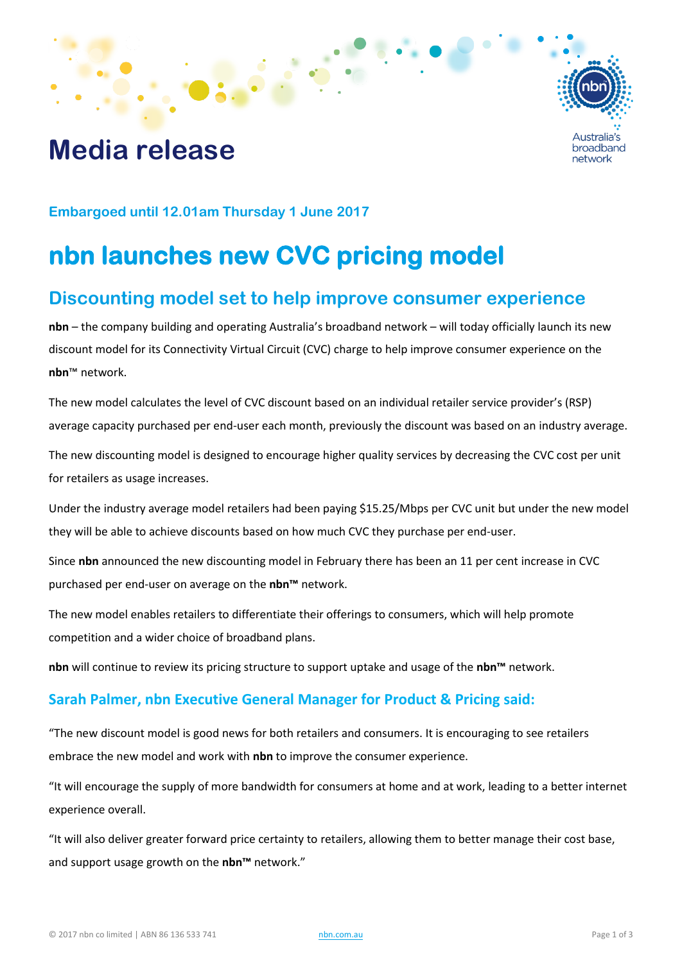# **Media release**



**Embargoed until 12.01am Thursday 1 June 2017**

# **nbn launches new CVC pricing model**

## **Discounting model set to help improve consumer experience**

**nbn** – the company building and operating Australia's broadband network – will today officially launch its new discount model for its Connectivity Virtual Circuit (CVC) charge to help improve consumer experience on the **nbn**™ network.

The new model calculates the level of CVC discount based on an individual retailer service provider's (RSP) average capacity purchased per end-user each month, previously the discount was based on an industry average. The new discounting model is designed to encourage higher quality services by decreasing the CVC cost per unit for retailers as usage increases.

Under the industry average model retailers had been paying \$15.25/Mbps per CVC unit but under the new model they will be able to achieve discounts based on how much CVC they purchase per end-user.

Since **nbn** announced the new discounting model in February there has been an 11 per cent increase in CVC purchased per end-user on average on the **nbn™** network.

The new model enables retailers to differentiate their offerings to consumers, which will help promote competition and a wider choice of broadband plans.

**nbn** will continue to review its pricing structure to support uptake and usage of the **nbn™** network.

#### **Sarah Palmer, nbn Executive General Manager for Product & Pricing said:**

"The new discount model is good news for both retailers and consumers. It is encouraging to see retailers embrace the new model and work with **nbn** to improve the consumer experience.

"It will encourage the supply of more bandwidth for consumers at home and at work, leading to a better internet experience overall.

"It will also deliver greater forward price certainty to retailers, allowing them to better manage their cost base, and support usage growth on the **nbn™** network."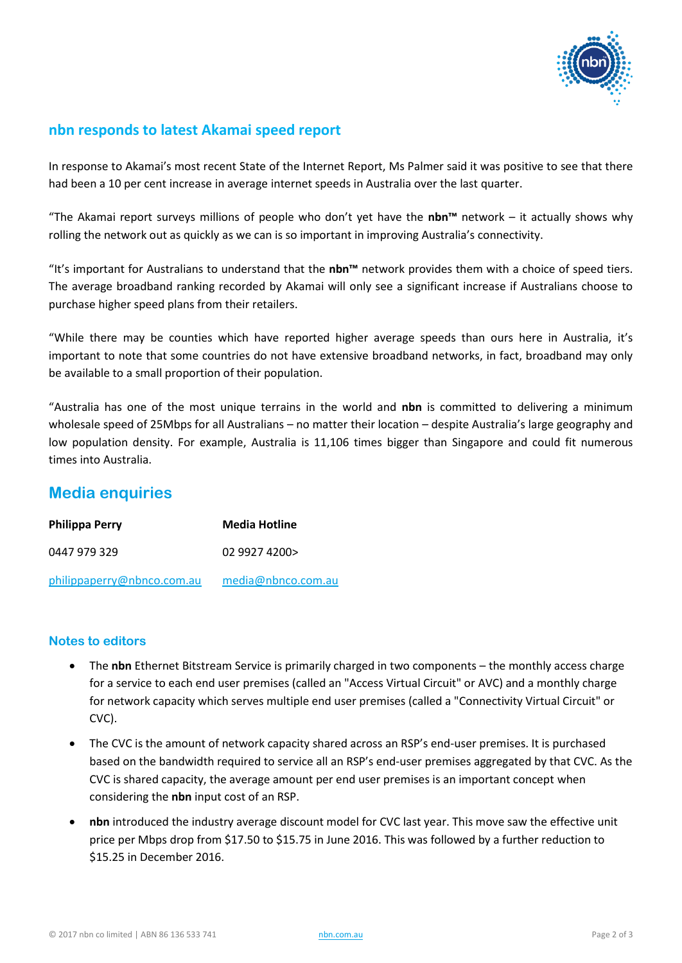

### **nbn responds to latest Akamai speed report**

In response to Akamai's most recent State of the Internet Report, Ms Palmer said it was positive to see that there had been a 10 per cent increase in average internet speeds in Australia over the last quarter.

"The Akamai report surveys millions of people who don't yet have the **nbn™** network – it actually shows why rolling the network out as quickly as we can is so important in improving Australia's connectivity.

"It's important for Australians to understand that the **nbn™** network provides them with a choice of speed tiers. The average broadband ranking recorded by Akamai will only see a significant increase if Australians choose to purchase higher speed plans from their retailers.

"While there may be counties which have reported higher average speeds than ours here in Australia, it's important to note that some countries do not have extensive broadband networks, in fact, broadband may only be available to a small proportion of their population.

"Australia has one of the most unique terrains in the world and **nbn** is committed to delivering a minimum wholesale speed of 25Mbps for all Australians – no matter their location – despite Australia's large geography and low population density. For example, Australia is 11,106 times bigger than Singapore and could fit numerous times into Australia.

### **Media enquiries**

| <b>Philippa Perry</b>      | <b>Media Hotline</b> |
|----------------------------|----------------------|
| 0447 979 329               | 0299274200>          |
| philippaperry@nbnco.com.au | media@nbnco.com.au   |

#### **Notes to editors**

- The **nbn** Ethernet Bitstream Service is primarily charged in two components the monthly access charge for a service to each end user premises (called an "Access Virtual Circuit" or AVC) and a monthly charge for network capacity which serves multiple end user premises (called a "Connectivity Virtual Circuit" or CVC).
- The CVC is the amount of network capacity shared across an RSP's end-user premises. It is purchased based on the bandwidth required to service all an RSP's end-user premises aggregated by that CVC. As the CVC is shared capacity, the average amount per end user premises is an important concept when considering the **nbn** input cost of an RSP.
- **nbn** introduced the industry average discount model for CVC last year. This move saw the effective unit price per Mbps drop from \$17.50 to \$15.75 in June 2016. This was followed by a further reduction to \$15.25 in December 2016.